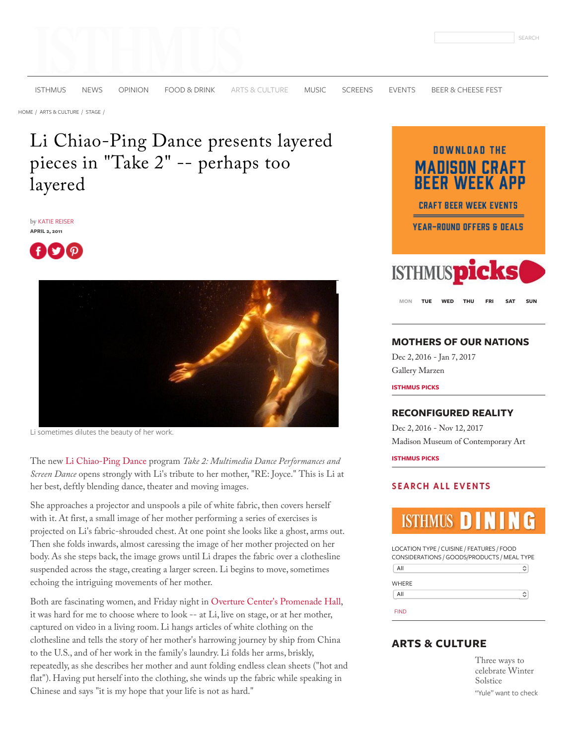[ISTHMUS](http://isthmus.com/) [NEWS](http://isthmus.com/news) [OPINION](http://isthmus.com/opinion) [FOOD & DRINK](http://isthmus.com/food-drink) [ARTS & CULTURE](http://isthmus.com/arts) [MUSIC](http://isthmus.com/music) [SCREENS](http://isthmus.com/screens) [EVENTS](http://isthmus.com/all-events/calendar-of-events-index) [BEER & CHEESE FEST](http://bit.ly/2gcfLDi)

[HOME /](http://isthmus.com/) [ARTS & CULTURE /](http://isthmus.com/arts) [STAGE /](http://isthmus.com/arts/stage)

# Li Chiao-Ping Dance presents layered pieces in "Take 2" -- perhaps too layered

by [KATIE REISER](http://isthmus.com/topics/katie-reiser/) **APRIL 2, 2011**





Li sometimes dilutes the beauty of her work.

The new [Li Chiao-Ping Dance](http://www.lichiaopingdance.org/) program *Take 2: Multimedia Dance Performances and Screen Dance* opens strongly with Li's tribute to her mother, "RE: Joyce." This is Li at her best, deftly blending dance, theater and moving images.

She approaches a projector and unspools a pile of white fabric, then covers herself with it. At first, a small image of her mother performing a series of exercises is projected on Li's fabric-shrouded chest. At one point she looks like a ghost, arms out. Then she folds inwards, almost caressing the image of her mother projected on her body. As she steps back, the image grows until Li drapes the fabric over a clothesline suspended across the stage, creating a larger screen. Li begins to move, sometimes echoing the intriguing movements of her mother.

Both are fascinating women, and Friday night in Overture Center['s Promenade Hall,](http://www.isthmus.com/theguide/venue.php?venue=2210&name=Overture-Center-Promenade-Hall) it was hard for me to choose where to look -- at Li, live on stage, or at her mother, captured on video in a living room. Li hangs articles of white clothing on the clothesline and tells the story of her mother's harrowing journey by ship from China to the U.S., and of her work in the family's laundry. Li folds her arms, briskly, repeatedly, as she describes her mother and aunt folding endless clean sheets ("hot and flat"). Having put herself into the clothing, she winds up the fabric while speaking in Chinese and says "it is my hope that your life is not as hard."



**[MON](javascript:void(null);) [TUE](javascript:void(null);) [WED](javascript:void(null);) [THU](javascript:void(null);) [FRI](javascript:void(null);) [SAT](javascript:void(null);) [SUN](javascript:void(null);)**

### **[MOTHERS OF OUR NATIONS](http://isthmus.com/events/mothers-of-our-nations/)**

Dec 2, 2016 - Jan 7, 2017 [Gallery Marzen](http://isthmus.com/locations/gallery-marzen/)

**ISTHMUS PICKS**

### **[RECONFIGURED REALITY](http://isthmus.com/events/reconfigured-reality/)**

Dec 2, 2016 - Nov 12, 2017 [Madison Museum of Contemporary Art](http://isthmus.com/locations/madison-museum-of-contemporary-art-2/)

**ISTHMUS PICKS**

### **SEARCH ALL EVENTS**

# **ISTHMUS**

LOCATION TYPE / CUISINE / FEATURES / FOOD CONSIDERATIONS / GOODS/PRODUCTS / MEAL TYPE  $AII$  $\boldsymbol{\mathbin{\diamond}}$ **WHERE**  $\sqrt{AII}$  $\hat{\cdot}$ FIND

## **ARTS & CULTURE**

Three ways to [celebrate Winter](http://isthmus.com/arts/three-ways-to-celebrate-winter-solstice/) Solstice "Yule" want to check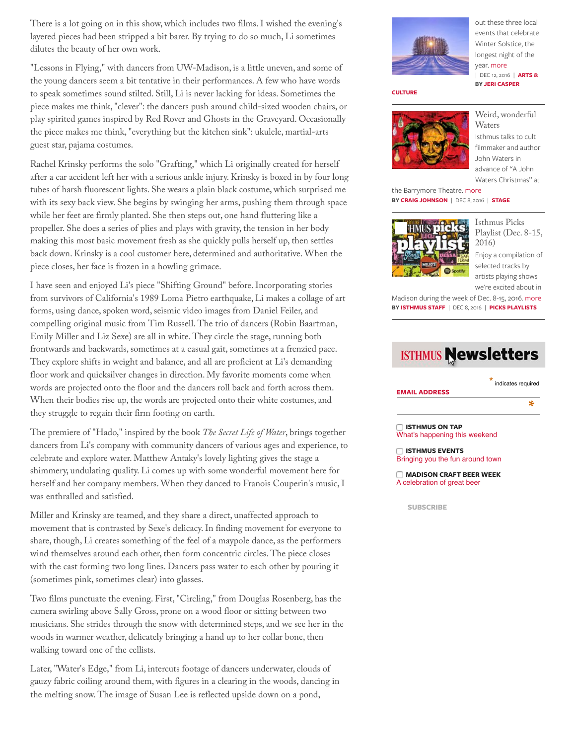There is a lot going on in this show, which includes two films. I wished the evening's layered pieces had been stripped a bit barer. By trying to do so much, Li sometimes dilutes the beauty of her own work.

"Lessons in Flying," with dancers from UW-Madison, is a little uneven, and some of the young dancers seem a bit tentative in their performances. A few who have words to speak sometimes sound stilted. Still, Li is never lacking for ideas. Sometimes the piece makes me think, "clever": the dancers push around child-sized wooden chairs, or play spirited games inspired by Red Rover and Ghosts in the Graveyard. Occasionally the piece makes me think, "everything but the kitchen sink": ukulele, martial-arts guest star, pajama costumes.

Rachel Krinsky performs the solo "Grafting," which Li originally created for herself after a car accident left her with a serious ankle injury. Krinsky is boxed in by four long tubes of harsh fluorescent lights. She wears a plain black costume, which surprised me with its sexy back view. She begins by swinging her arms, pushing them through space while her feet are firmly planted. She then steps out, one hand fluttering like a propeller. She does a series of plies and plays with gravity, the tension in her body making this most basic movement fresh as she quickly pulls herself up, then settles back down. Krinsky is a cool customer here, determined and authoritative. When the piece closes, her face is frozen in a howling grimace.

I have seen and enjoyed Li's piece "Shifting Ground" before. Incorporating stories from survivors of California's 1989 Loma Pietro earthquake, Li makes a collage of art forms, using dance, spoken word, seismic video images from Daniel Feiler, and compelling original music from Tim Russell. The trio of dancers (Robin Baartman, Emily Miller and Liz Sexe) are all in white. They circle the stage, running both frontwards and backwards, sometimes at a casual gait, sometimes at a frenzied pace. They explore shifts in weight and balance, and all are proficient at Li's demanding floor work and quicksilver changes in direction. My favorite moments come when words are projected onto the floor and the dancers roll back and forth across them. When their bodies rise up, the words are projected onto their white costumes, and they struggle to regain their firm footing on earth.

The premiere of "Hado," inspired by the book *The Secret Life of Water*, brings together dancers from Li's company with community dancers of various ages and experience, to celebrate and explore water. Matthew Antaky's lovely lighting gives the stage a shimmery, undulating quality. Li comes up with some wonderful movement here for herself and her company members. When they danced to Franois Couperin's music, I was enthralled and satisfied.

Miller and Krinsky are teamed, and they share a direct, unaffected approach to movement that is contrasted by Sexe's delicacy. In finding movement for everyone to share, though, Li creates something of the feel of a maypole dance, as the performers wind themselves around each other, then form concentric circles. The piece closes with the cast forming two long lines. Dancers pass water to each other by pouring it (sometimes pink, sometimes clear) into glasses.

Two films punctuate the evening. First, "Circling," from Douglas Rosenberg, has the camera swirling above Sally Gross, prone on a wood floor or sitting between two musicians. She strides through the snow with determined steps, and we see her in the woods in warmer weather, delicately bringing a hand up to her collar bone, then walking toward one of the cellists.

Later, "Water's Edge," from Li, intercuts footage of dancers underwater, clouds of gauzy fabric coiling around them, with figures in a clearing in the woods, dancing in the melting snow. The image of Susan Lee is reflected upside down on a pond,



out these three local events that celebrate Winter Solstice, the longest night of the year. [more](http://isthmus.com/arts/three-ways-to-celebrate-winter-solstice/) **[BY](http://isthmus.com/arts) [JERI CASPE](http://isthmus.com/topics/jeri-casper/)[R](http://isthmus.com/arts)** | DEC 12, 2016 | **ARTS &**

#### **CULTURE**



[Weird, wonderful](http://isthmus.com/arts/stage/john-waters-christmas-barrymore/) Waters

Isthmus talks to cult filmmaker and author John Waters in advance of "A John Waters Christmas" at

the Barrymore Theatre. [more](http://isthmus.com/arts/stage/john-waters-christmas-barrymore/) **BY [CRAIG JOHNSON](http://isthmus.com/topics/craig-johnson/)** | DEC 8, 2016 | **[STAGE](http://isthmus.com/arts/stage)**



Isthmus Picks [Playlist \(Dec. 8-15,](http://isthmus.com/music/picks-playlists/isthmus-picks-playlist-dec-8-15-2016/) 2016)

Enjoy a compilation of selected tracks by artists playing shows we're excited about in

Madison during the week of Dec. 8-15, 2016. [more](http://isthmus.com/music/picks-playlists/isthmus-picks-playlist-dec-8-15-2016/) **BY [ISTHMUS STAFF](http://isthmus.com/topics/isthmus-staff/)** | DEC 8, 2016 | **[PICKS PLAYLISTS](http://isthmus.com/music/picks-playlists)**

# **ISTHMUS Newsletters**

|                      | ×<br>indicates required |
|----------------------|-------------------------|
| <b>EMAIL ADDRESS</b> |                         |
|                      | sk.                     |
|                      |                         |

 **ISTHMUS ON TAP** What's happening this weekend

 **ISTHMUS EVENTS** Bringing you the fun around town

 **MADISON CRAFT BEER WEEK** A celebration of great beer

**SUBSCRIBE**